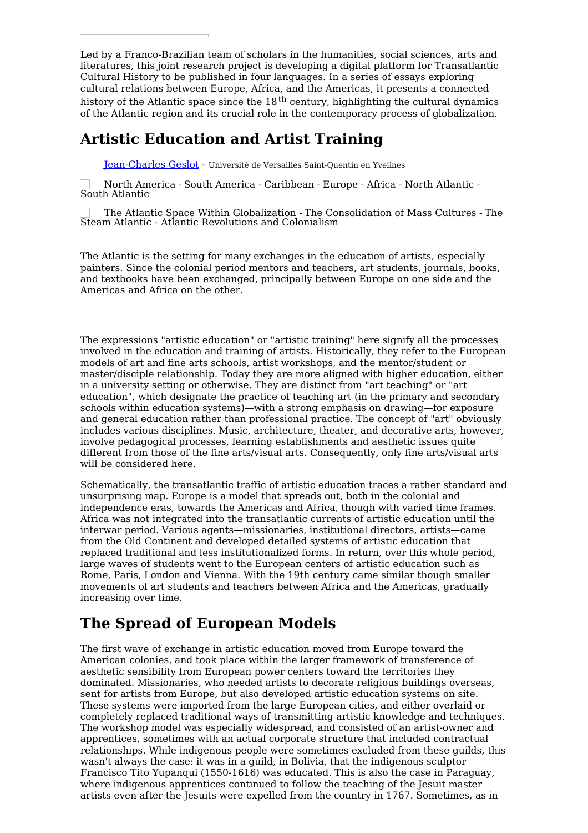Led by a Franco-Brazilian team of scholars in the humanities, social sciences, arts and literatures, this joint research project is developing a digital platform for Transatlantic Cultural History to be published in four languages. In a series of essays exploring cultural relations between Europe, Africa, and the Americas, it presents a connected history of the Atlantic space since the  $18^\text{th}$  century, highlighting the cultural dynamics of the Atlantic region and its crucial role in the contemporary process of globalization.

## **Artistic Education and Artist Training**

[Jean-Charles](https://transatlantic-cultures.org/en/author/geslot) Geslot - Université de Versailles Saint-Quentin en Yvelines

North America - South America - Caribbean - Europe - Africa - North Atlantic - South Atlantic

The Atlantic Space Within Globalization - The Consolidation of Mass Cultures - The Steam Atlantic - Atlantic Revolutions and Colonialism

The Atlantic is the setting for many exchanges in the education of artists, especially painters. Since the colonial period mentors and teachers, art students, journals, books, and textbooks have been exchanged, principally between Europe on one side and the Americas and Africa on the other.

The expressions "artistic education" or "artistic training" here signify all the processes involved in the education and training of artists. Historically, they refer to the European models of art and fine arts schools, artist workshops, and the mentor/student or master/disciple relationship. Today they are more aligned with higher education, either in a university setting or otherwise. They are distinct from "art teaching" or "art education", which designate the practice of teaching art (in the primary and secondary schools within education systems)—with a strong emphasis on drawing—for exposure and general education rather than professional practice. The concept of "art" obviously includes various disciplines. Music, architecture, theater, and decorative arts, however, involve pedagogical processes, learning establishments and aesthetic issues quite different from those of the fine arts/visual arts. Consequently, only fine arts/visual arts will be considered here.

Schematically, the transatlantic traffic of artistic education traces a rather standard and unsurprising map. Europe is a model that spreads out, both in the colonial and independence eras, towards the Americas and Africa, though with varied time frames. Africa was not integrated into the transatlantic currents of artistic education until the interwar period. Various agents—missionaries, institutional directors, artists—came from the Old Continent and developed detailed systems of artistic education that replaced traditional and less institutionalized forms. In return, over this whole period, large waves of students went to the European centers of artistic education such as Rome, Paris, London and Vienna. With the 19th century came similar though smaller movements of art students and teachers between Africa and the Americas, gradually increasing over time.

# **The Spread of European Models**

The first wave of exchange in artistic education moved from Europe toward the American colonies, and took place within the larger framework of transference of aesthetic sensibility from European power centers toward the territories they dominated. Missionaries, who needed artists to decorate religious buildings overseas, sent for artists from Europe, but also developed artistic education systems on site. These systems were imported from the large European cities, and either overlaid or completely replaced traditional ways of transmitting artistic knowledge and techniques. The workshop model was especially widespread, and consisted of an artist-owner and apprentices, sometimes with an actual corporate structure that included contractual relationships. While indigenous people were sometimes excluded from these guilds, this wasn't always the case: it was in a guild, in Bolivia, that the indigenous sculptor Francisco Tito Yupanqui (1550-1616) was educated. This is also the case in Paraguay, where indigenous apprentices continued to follow the teaching of the Jesuit master artists even after the Jesuits were expelled from the country in 1767. Sometimes, as in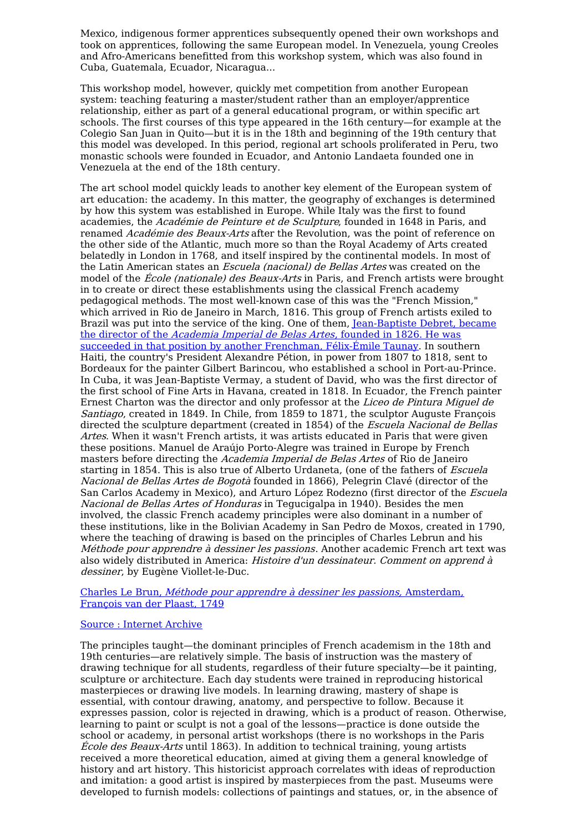Mexico, indigenous former apprentices subsequently opened their own workshops and took on apprentices, following the same European model. In Venezuela, young Creoles and Afro-Americans benefitted from this workshop system, which was also found in Cuba, Guatemala, Ecuador, Nicaragua...

This workshop model, however, quickly met competition from another European system: teaching featuring a master/student rather than an employer/apprentice relationship, either as part of a general educational program, or within specific art schools. The first courses of this type appeared in the 16th century—for example at the Colegio San Juan in Quito—but it is in the 18th and beginning of the 19th century that this model was developed. In this period, regional art schools proliferated in Peru, two monastic schools were founded in Ecuador, and Antonio Landaeta founded one in Venezuela at the end of the 18th century.

The art school model quickly leads to another key element of the European system of art education: the academy. In this matter, the geography of exchanges is determined by how this system was established in Europe. While Italy was the first to found academies, the Académie de Peinture et de Sculpture, founded in 1648 in Paris, and renamed Académie des Beaux-Arts after the Revolution, was the point of reference on the other side of the Atlantic, much more so than the Royal Academy of Arts created belatedly in London in 1768, and itself inspired by the continental models. In most of the Latin American states an *Escuela (nacional) de Bellas Artes* was created on the model of the École (nationale) des Beaux-Arts in Paris, and French artists were brought in to create or direct these establishments using the classical French academy pedagogical methods. The most well-known case of this was the "French Mission," which arrived in Rio de Janeiro in March, 1816. This group of French artists exiled to Brazil was put into the service of the king. One of them, [Jean-Baptiste](https://transatlantic-cultures.org/fr/catalog/viajantes-franceses-no-mundo-atlantico-do-seculo-xix-no-brasil-e-na-africa) Debret, became the director of the Academia Imperial de Belas Artes, founded in 1826. He was succeeded in that position by another Frenchman, Félix-Émile Taunay. In southern Haiti, the country's President Alexandre Pétion, in power from 1807 to 1818, sent to Bordeaux for the painter Gilbert Barincou, who established a school in Port-au-Prince. In Cuba, it was Jean-Baptiste Vermay, a student of David, who was the first director of the first school of Fine Arts in Havana, created in 1818. In Ecuador, the French painter Ernest Charton was the director and only professor at the Liceo de Pintura Miguel de Santiago, created in 1849. In Chile, from 1859 to 1871, the sculptor Auguste François directed the sculpture department (created in 1854) of the Escuela Nacional de Bellas Artes. When it wasn't French artists, it was artists educated in Paris that were given these positions. Manuel de Araújo Porto-Alegre was trained in Europe by French masters before directing the Academia Imperial de Belas Artes of Rio de Janeiro starting in 1854. This is also true of Alberto Urdaneta, (one of the fathers of Escuela Nacional de Bellas Artes de Bogotà founded in 1866), Pelegrin Clavé (director of the San Carlos Academy in Mexico), and Arturo López Rodezno (first director of the Escuela Nacional de Bellas Artes of Honduras in Tegucigalpa in 1940). Besides the men involved, the classic French academy principles were also dominant in a number of these institutions, like in the Bolivian Academy in San Pedro de Moxos, created in 1790, where the teaching of drawing is based on the principles of Charles Lebrun and his Méthode pour apprendre à dessiner les passions. Another academic French art text was also widely distributed in America: Histoire d'un dessinateur. Comment on apprend à dessiner, by Eugène Viollet-le-Duc.

Charles Le Brun, Méthode pour apprendre à dessiner les passions, Amsterdam, François van der Plaast, 1749

### Source : [Internet](https://archive.org/details/methodepourappre00lebr/page/n8) Archive

The principles taught—the dominant principles of French academism in the 18th and 19th centuries—are relatively simple. The basis of instruction was the mastery of drawing technique for all students, regardless of their future specialty—be it painting, sculpture or architecture. Each day students were trained in reproducing historical masterpieces or drawing live models. In learning drawing, mastery of shape is essential, with contour drawing, anatomy, and perspective to follow. Because it expresses passion, color is rejected in drawing, which is a product of reason. Otherwise, learning to paint or sculpt is not a goal of the lessons—practice is done outside the school or academy, in personal artist workshops (there is no workshops in the Paris École des Beaux-Arts until 1863). In addition to technical training, young artists received a more theoretical education, aimed at giving them a general knowledge of history and art history. This historicist approach correlates with ideas of reproduction and imitation: a good artist is inspired by masterpieces from the past. Museums were developed to furnish models: collections of paintings and statues, or, in the absence of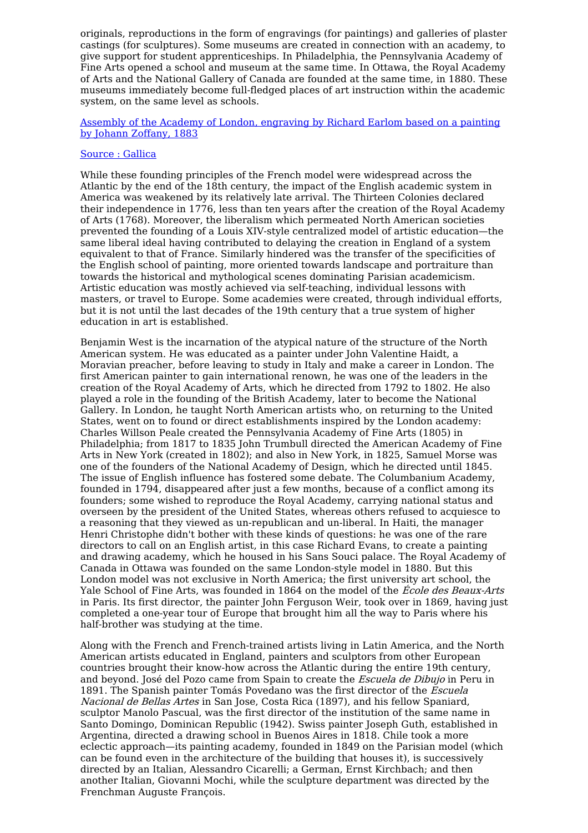originals, reproductions in the form of engravings (for paintings) and galleries of plaster castings (for sculptures). Some museums are created in connection with an academy, to give support for student apprenticeships. In Philadelphia, the Pennsylvania Academy of Fine Arts opened a school and museum at the same time. In Ottawa, the Royal Academy of Arts and the National Gallery of Canada are founded at the same time, in 1880. These museums immediately become full-fledged places of art instruction within the academic system, on the same level as schools.

Assembly of the Academy of London, [engraving](https://gallica.bnf.fr/ark:/12148/btv1b531286273) by Richard Earlom based on a painting by Johann Zoffany, 1883

#### [Source](https://gallica.bnf.fr/ark:/12148/btv1b531286273) : [Gallica](https://gallica.bnf.fr/ark:/12148/btv1b531286273)

While these founding principles of the French model were widespread across the Atlantic by the end of the 18th century, the impact of the English academic system in America was weakened by its relatively late arrival. The Thirteen Colonies declared their independence in 1776, less than ten years after the creation of the Royal Academy of Arts (1768). Moreover, the liberalism which permeated North American societies prevented the founding of a Louis XIV-style centralized model of artistic education—the same liberal ideal having contributed to delaying the creation in England of a system equivalent to that of France. Similarly hindered was the transfer of the specificities of the English school of painting, more oriented towards landscape and portraiture than towards the historical and mythological scenes dominating Parisian academicism. Artistic education was mostly achieved via self-teaching, individual lessons with masters, or travel to Europe. Some academies were created, through individual efforts, but it is not until the last decades of the 19th century that a true system of higher education in art is established.

Benjamin West is the incarnation of the atypical nature of the structure of the North American system. He was educated as a painter under John Valentine Haidt, a Moravian preacher, before leaving to study in Italy and make a career in London. The first American painter to gain international renown, he was one of the leaders in the creation of the Royal Academy of Arts, which he directed from 1792 to 1802. He also played a role in the founding of the British Academy, later to become the National Gallery. In London, he taught North American artists who, on returning to the United States, went on to found or direct establishments inspired by the London academy: Charles Willson Peale created the Pennsylvania Academy of Fine Arts (1805) in Philadelphia; from 1817 to 1835 John Trumbull directed the American Academy of Fine Arts in New York (created in 1802); and also in New York, in 1825, Samuel Morse was one of the founders of the National Academy of Design, which he directed until 1845. The issue of English influence has fostered some debate. The Columbanium Academy, founded in 1794, disappeared after just a few months, because of a conflict among its founders; some wished to reproduce the Royal Academy, carrying national status and overseen by the president of the United States, whereas others refused to acquiesce to a reasoning that they viewed as un-republican and un-liberal. In Haiti, the manager Henri Christophe didn't bother with these kinds of questions: he was one of the rare directors to call on an English artist, in this case Richard Evans, to create a painting and drawing academy, which he housed in his Sans Souci palace. The Royal Academy of Canada in Ottawa was founded on the same London-style model in 1880. But this London model was not exclusive in North America; the first university art school, the Yale School of Fine Arts, was founded in 1864 on the model of the *École des Beaux-Arts* in Paris. Its first director, the painter John Ferguson Weir, took over in 1869, having just completed a one-year tour of Europe that brought him all the way to Paris where his half-brother was studying at the time.

Along with the French and French-trained artists living in Latin America, and the North American artists educated in England, painters and sculptors from other European countries brought their know-how across the Atlantic during the entire 19th century, and beyond. José del Pozo came from Spain to create the Escuela de Dibujo in Peru in 1891. The Spanish painter Tomás Povedano was the first director of the Escuela Nacional de Bellas Artes in San Jose, Costa Rica (1897), and his fellow Spaniard, sculptor Manolo Pascual, was the first director of the institution of the same name in Santo Domingo, Dominican Republic (1942). Swiss painter Joseph Guth, established in Argentina, directed a drawing school in Buenos Aires in 1818. Chile took a more eclectic approach—its painting academy, founded in 1849 on the Parisian model (which can be found even in the architecture of the building that houses it), is successively directed by an Italian, Alessandro Cicarelli; a German, Ernst Kirchbach; and then another Italian, Giovanni Mochi, while the sculpture department was directed by the Frenchman Auguste François.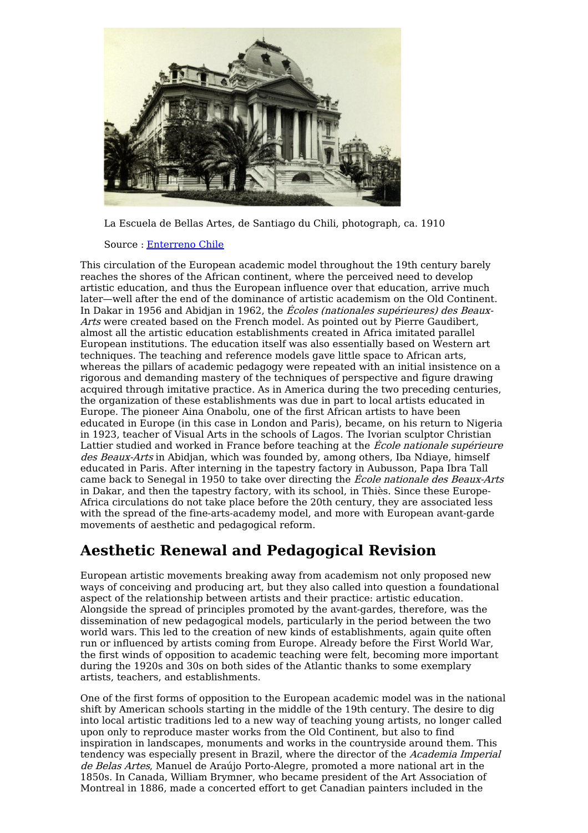

La Escuela de Bellas Artes, de Santiago du Chili, photograph, ca. 1910

Source : [Enterreno](https://s3-us-west-2.amazonaws.com/enterreno-production/moments/photos/000/002/761/original/2452.jpg) Chile

This circulation of the European academic model throughout the 19th century barely reaches the shores of the African continent, where the perceived need to develop artistic education, and thus the European influence over that education, arrive much later—well after the end of the dominance of artistic academism on the Old Continent. In Dakar in 1956 and Abidjan in 1962, the Écoles (nationales supérieures) des Beaux-Arts were created based on the French model. As pointed out by Pierre Gaudibert, almost all the artistic education establishments created in Africa imitated parallel European institutions. The education itself was also essentially based on Western art techniques. The teaching and reference models gave little space to African arts, whereas the pillars of academic pedagogy were repeated with an initial insistence on a rigorous and demanding mastery of the techniques of perspective and figure drawing acquired through imitative practice. As in America during the two preceding centuries, the organization of these establishments was due in part to local artists educated in Europe. The pioneer Aina Onabolu, one of the first African artists to have been educated in Europe (in this case in London and Paris), became, on his return to Nigeria in 1923, teacher of Visual Arts in the schools of Lagos. The Ivorian sculptor Christian Lattier studied and worked in France before teaching at the *École nationale supérieure* des Beaux-Arts in Abidjan, which was founded by, among others, Iba Ndiaye, himself educated in Paris. After interning in the tapestry factory in Aubusson, Papa Ibra Tall came back to Senegal in 1950 to take over directing the École nationale des Beaux-Arts in Dakar, and then the tapestry factory, with its school, in Thiès. Since these Europe-Africa circulations do not take place before the 20th century, they are associated less with the spread of the fine-arts-academy model, and more with European avant-garde movements of aesthetic and pedagogical reform.

## **Aesthetic Renewal and Pedagogical Revision**

European artistic movements breaking away from academism not only proposed new ways of conceiving and producing art, but they also called into question a foundational aspect of the relationship between artists and their practice: artistic education. Alongside the spread of principles promoted by the avant-gardes, therefore, was the dissemination of new pedagogical models, particularly in the period between the two world wars. This led to the creation of new kinds of establishments, again quite often run or influenced by artists coming from Europe. Already before the First World War, the first winds of opposition to academic teaching were felt, becoming more important during the 1920s and 30s on both sides of the Atlantic thanks to some exemplary artists, teachers, and establishments.

One of the first forms of opposition to the European academic model was in the national shift by American schools starting in the middle of the 19th century. The desire to dig into local artistic traditions led to a new way of teaching young artists, no longer called upon only to reproduce master works from the Old Continent, but also to find inspiration in landscapes, monuments and works in the countryside around them. This tendency was especially present in Brazil, where the director of the Academia Imperial de Belas Artes, Manuel de Araújo Porto-Alegre, promoted a more national art in the 1850s. In Canada, William Brymner, who became president of the Art Association of Montreal in 1886, made a concerted effort to get Canadian painters included in the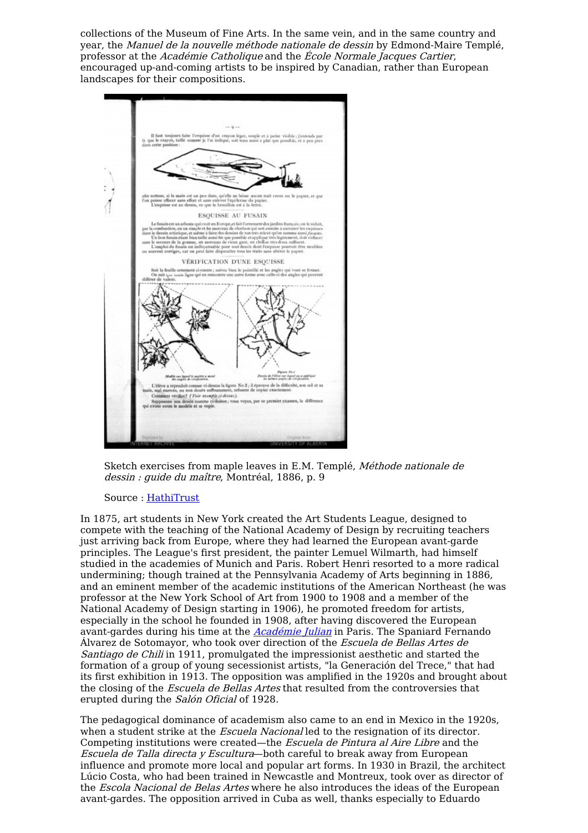collections of the Museum of Fine Arts. In the same vein, and in the same country and year, the Manuel de la nouvelle méthode nationale de dessin by Edmond-Maire Templé, professor at the Académie Catholique and the École Normale Jacques Cartier, encouraged up-and-coming artists to be inspired by Canadian, rather than European landscapes for their compositions.



Sketch exercises from maple leaves in E.M. Templé, Méthode nationale de dessin : guide du maître, Montréal, 1886, p. 9

### Source : [HathiTrust](https://babel.hathitrust.org/cgi/pt?id=aeu.ark:/13960/t6rx9vt3j&view=1up&seq=14)

In 1875, art students in New York created the Art Students League, designed to compete with the teaching of the National Academy of Design by recruiting teachers just arriving back from Europe, where they had learned the European avant-garde principles. The League's first president, the painter Lemuel Wilmarth, had himself studied in the academies of Munich and Paris. Robert Henri resorted to a more radical undermining; though trained at the Pennsylvania Academy of Arts beginning in 1886, and an eminent member of the academic institutions of the American Northeast (he was professor at the New York School of Art from 1900 to 1908 and a member of the National Academy of Design starting in 1906), he promoted freedom for artists, especially in the school he founded in 1908, after having discovered the European avant-gardes during his time at the **[Académie](https://transatlantic-cultures.org/en/catalog/academie-julian-the-french-artistic-model-from-a-transatlantic-perspective-1880-1920) Julian** in Paris. The Spaniard Fernando Álvarez de Sotomayor, who took over direction of the Escuela de Bellas Artes de Santiago de Chili in 1911, promulgated the impressionist aesthetic and started the formation of a group of young secessionist artists, "la Generación del Trece," that had its first exhibition in 1913. The opposition was amplified in the 1920s and brought about the closing of the *Escuela de Bellas Artes* that resulted from the controversies that erupted during the Salón Oficial of 1928.

The pedagogical dominance of academism also came to an end in Mexico in the 1920s, when a student strike at the *Escuela Nacional* led to the resignation of its director. Competing institutions were created—the Escuela de Pintura al Aire Libre and the Escuela de Talla directa y Escultura-both careful to break away from European influence and promote more local and popular art forms. In 1930 in Brazil, the architect Lúcio Costa, who had been trained in Newcastle and Montreux, took over as director of the *Escola Nacional de Belas Artes* where he also introduces the ideas of the European avant-gardes. The opposition arrived in Cuba as well, thanks especially to Eduardo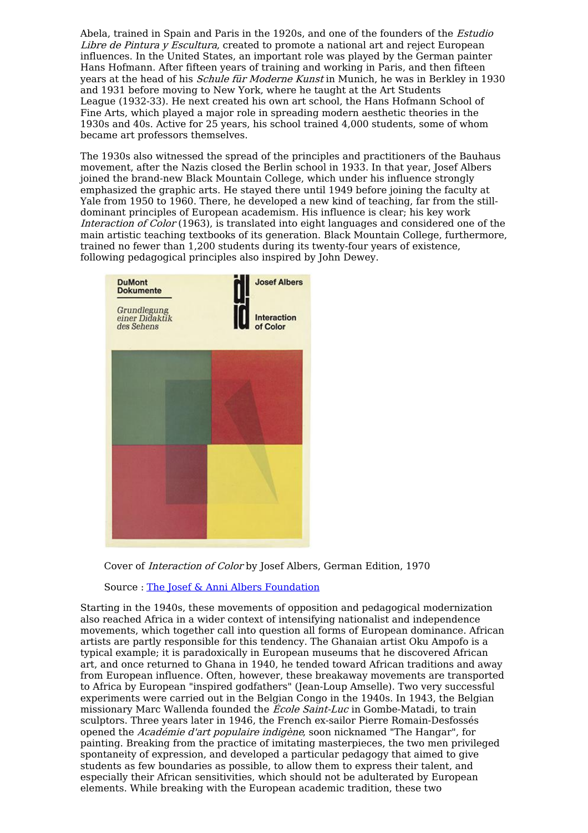Abela, trained in Spain and Paris in the 1920s, and one of the founders of the *Estudio* Libre de Pintura y Escultura, created to promote a national art and reject European influences. In the United States, an important role was played by the German painter Hans Hofmann. After fifteen years of training and working in Paris, and then fifteen years at the head of his *Schule für Moderne Kunst* in Munich, he was in Berkley in 1930 and 1931 before moving to New York, where he taught at the Art Students League (1932-33). He next created his own art school, the Hans Hofmann School of Fine Arts, which played a major role in spreading modern aesthetic theories in the 1930s and 40s. Active for 25 years, his school trained 4,000 students, some of whom became art professors themselves.

The 1930s also witnessed the spread of the principles and practitioners of the Bauhaus movement, after the Nazis closed the Berlin school in 1933. In that year, Josef Albers joined the brand-new Black Mountain College, which under his influence strongly emphasized the graphic arts. He stayed there until 1949 before joining the faculty at Yale from 1950 to 1960. There, he developed a new kind of teaching, far from the stilldominant principles of European academism. His influence is clear; his key work Interaction of Color (1963), is translated into eight languages and considered one of the main artistic teaching textbooks of its generation. Black Mountain College, furthermore, trained no fewer than 1,200 students during its twenty-four years of existence, following pedagogical principles also inspired by John Dewey.



Cover of Interaction of Color by Josef Albers, German Edition, 1970

Source : The Josef & Anni Albers [Foundation](https://albersfoundation.org/teaching/josef-albers/interaction-of-color/publications/#slide6)

Starting in the 1940s, these movements of opposition and pedagogical modernization also reached Africa in a wider context of intensifying nationalist and independence movements, which together call into question all forms of European dominance. African artists are partly responsible for this tendency. The Ghanaian artist Oku Ampofo is a typical example; it is paradoxically in European museums that he discovered African art, and once returned to Ghana in 1940, he tended toward African traditions and away from European influence. Often, however, these breakaway movements are transported to Africa by European "inspired godfathers" (Jean-Loup Amselle). Two very successful experiments were carried out in the Belgian Congo in the 1940s. In 1943, the Belgian missionary Marc Wallenda founded the École Saint-Luc in Gombe-Matadi, to train sculptors. Three years later in 1946, the French ex-sailor Pierre Romain-Desfossés opened the *Académie d'art populaire indigène*, soon nicknamed "The Hangar", for painting. Breaking from the practice of imitating masterpieces, the two men privileged spontaneity of expression, and developed a particular pedagogy that aimed to give students as few boundaries as possible, to allow them to express their talent, and especially their African sensitivities, which should not be adulterated by European elements. While breaking with the European academic tradition, these two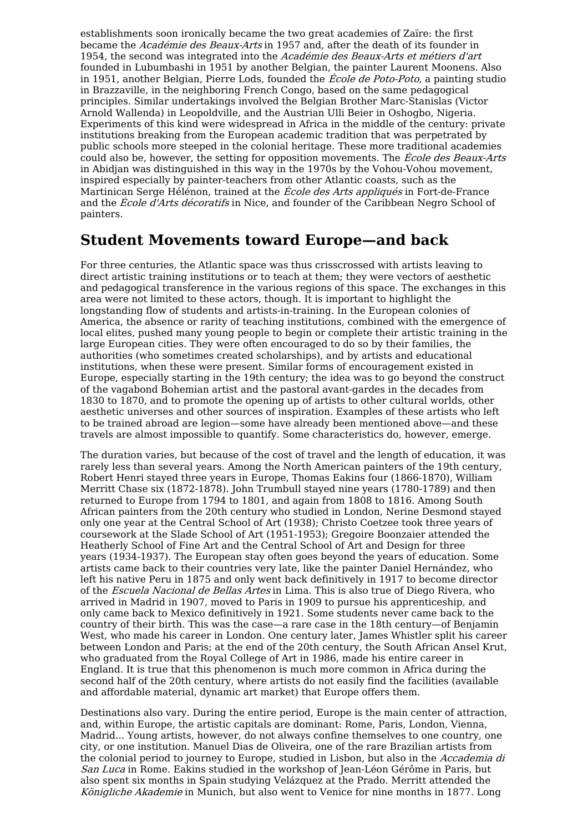establishments soon ironically became the two great academies of Zaïre: the first became the Académie des Beaux-Arts in 1957 and, after the death of its founder in 1954, the second was integrated into the Académie des Beaux-Arts et métiers d'art founded in Lubumbashi in 1951 by another Belgian, the painter Laurent Moonens. Also in 1951, another Belgian, Pierre Lods, founded the *École de Poto-Poto*, a painting studio in Brazzaville, in the neighboring French Congo, based on the same pedagogical principles. Similar undertakings involved the Belgian Brother Marc-Stanislas (Victor Arnold Wallenda) in Leopoldville, and the Austrian Ulli Beier in Oshogbo, Nigeria. Experiments of this kind were widespread in Africa in the middle of the century: private institutions breaking from the European academic tradition that was perpetrated by public schools more steeped in the colonial heritage. These more traditional academies could also be, however, the setting for opposition movements. The *École des Beaux-Arts* in Abidjan was distinguished in this way in the 1970s by the Vohou-Vohou movement, inspired especially by painter-teachers from other Atlantic coasts, such as the Martinican Serge Hélénon, trained at the École des Arts appliqués in Fort-de-France and the *École d'Arts décoratifs* in Nice, and founder of the Caribbean Negro School of painters.

## **Student Movements toward Europe—and back**

For three centuries, the Atlantic space was thus crisscrossed with artists leaving to direct artistic training institutions or to teach at them; they were vectors of aesthetic and pedagogical transference in the various regions of this space. The exchanges in this area were not limited to these actors, though. It is important to highlight the longstanding flow of students and artists-in-training. In the European colonies of America, the absence or rarity of teaching institutions, combined with the emergence of local elites, pushed many young people to begin or complete their artistic training in the large European cities. They were often encouraged to do so by their families, the authorities (who sometimes created scholarships), and by artists and educational institutions, when these were present. Similar forms of encouragement existed in Europe, especially starting in the 19th century; the idea was to go beyond the construct of the vagabond Bohemian artist and the pastoral avant-gardes in the decades from 1830 to 1870, and to promote the opening up of artists to other cultural worlds, other aesthetic universes and other sources of inspiration. Examples of these artists who left to be trained abroad are legion—some have already been mentioned above—and these travels are almost impossible to quantify. Some characteristics do, however, emerge.

The duration varies, but because of the cost of travel and the length of education, it was rarely less than several years. Among the North American painters of the 19th century, Robert Henri stayed three years in Europe, Thomas Eakins four (1866-1870), William Merritt Chase six (1872-1878). John Trumbull stayed nine years (1780-1789) and then returned to Europe from 1794 to 1801, and again from 1808 to 1816. Among South African painters from the 20th century who studied in London, Nerine Desmond stayed only one year at the Central School of Art (1938); Christo Coetzee took three years of coursework at the Slade School of Art (1951-1953); Gregoire Boonzaier attended the Heatherly School of Fine Art and the Central School of Art and Design for three years (1934-1937). The European stay often goes beyond the years of education. Some artists came back to their countries very late, like the painter Daniel Hernández, who left his native Peru in 1875 and only went back definitively in 1917 to become director of the Escuela Nacional de Bellas Artes in Lima. This is also true of Diego Rivera, who arrived in Madrid in 1907, moved to Paris in 1909 to pursue his apprenticeship, and only came back to Mexico definitively in 1921. Some students never came back to the country of their birth. This was the case—a rare case in the 18th century—of Benjamin West, who made his career in London. One century later, James Whistler split his career between London and Paris; at the end of the 20th century, the South African Ansel Krut, who graduated from the Royal College of Art in 1986, made his entire career in England. It is true that this phenomenon is much more common in Africa during the second half of the 20th century, where artists do not easily find the facilities (available and affordable material, dynamic art market) that Europe offers them.

Destinations also vary. During the entire period, Europe is the main center of attraction, and, within Europe, the artistic capitals are dominant: Rome, Paris, London, Vienna, Madrid... Young artists, however, do not always confine themselves to one country, one city, or one institution. Manuel Dias de Oliveira, one of the rare Brazilian artists from the colonial period to journey to Europe, studied in Lisbon, but also in the Accademia di San Luca in Rome. Eakins studied in the workshop of Jean-Léon Gérôme in Paris, but also spent six months in Spain studying Velázquez at the Prado. Merritt attended the Königliche Akademie in Munich, but also went to Venice for nine months in 1877. Long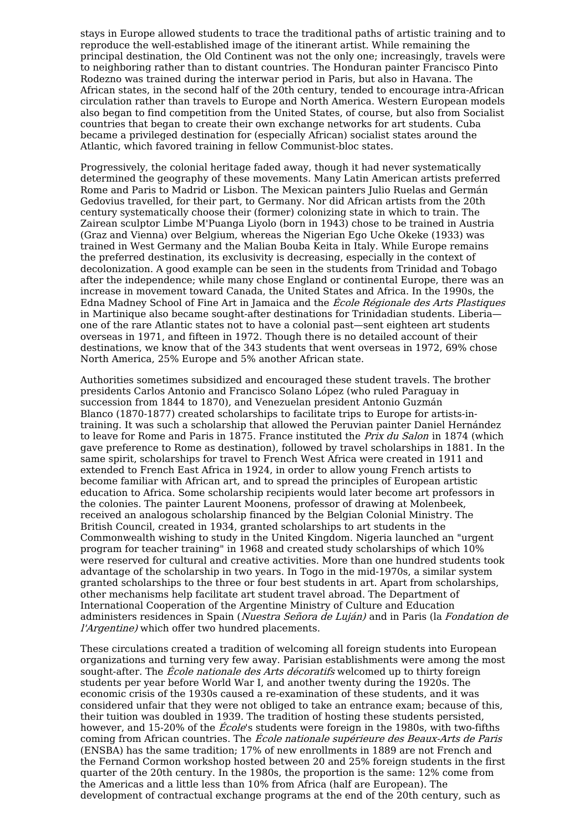stays in Europe allowed students to trace the traditional paths of artistic training and to reproduce the well-established image of the itinerant artist. While remaining the principal destination, the Old Continent was not the only one; increasingly, travels were to neighboring rather than to distant countries. The Honduran painter Francisco Pinto Rodezno was trained during the interwar period in Paris, but also in Havana. The African states, in the second half of the 20th century, tended to encourage intra-African circulation rather than travels to Europe and North America. Western European models also began to find competition from the United States, of course, but also from Socialist countries that began to create their own exchange networks for art students. Cuba became a privileged destination for (especially African) socialist states around the Atlantic, which favored training in fellow Communist-bloc states.

Progressively, the colonial heritage faded away, though it had never systematically determined the geography of these movements. Many Latin American artists preferred Rome and Paris to Madrid or Lisbon. The Mexican painters Julio Ruelas and Germán Gedovius travelled, for their part, to Germany. Nor did African artists from the 20th century systematically choose their (former) colonizing state in which to train. The Zairean sculptor Limbe M'Puanga Liyolo (born in 1943) chose to be trained in Austria (Graz and Vienna) over Belgium, whereas the Nigerian Ego Uche Okeke (1933) was trained in West Germany and the Malian Bouba Keita in Italy. While Europe remains the preferred destination, its exclusivity is decreasing, especially in the context of decolonization. A good example can be seen in the students from Trinidad and Tobago after the independence; while many chose England or continental Europe, there was an increase in movement toward Canada, the United States and Africa. In the 1990s, the Edna Madney School of Fine Art in Jamaica and the École Régionale des Arts Plastiques in Martinique also became sought-after destinations for Trinidadian students. Liberia one of the rare Atlantic states not to have a colonial past—sent eighteen art students overseas in 1971, and fifteen in 1972. Though there is no detailed account of their destinations, we know that of the 343 students that went overseas in 1972, 69% chose North America, 25% Europe and 5% another African state.

Authorities sometimes subsidized and encouraged these student travels. The brother presidents Carlos Antonio and Francisco Solano López (who ruled Paraguay in succession from 1844 to 1870), and Venezuelan president Antonio Guzmán Blanco (1870-1877) created scholarships to facilitate trips to Europe for artists-intraining. It was such a scholarship that allowed the Peruvian painter Daniel Hernández to leave for Rome and Paris in 1875. France instituted the Prix du Salon in 1874 (which gave preference to Rome as destination), followed by travel scholarships in 1881. In the same spirit, scholarships for travel to French West Africa were created in 1911 and extended to French East Africa in 1924, in order to allow young French artists to become familiar with African art, and to spread the principles of European artistic education to Africa. Some scholarship recipients would later become art professors in the colonies. The painter Laurent Moonens, professor of drawing at Molenbeek, received an analogous scholarship financed by the Belgian Colonial Ministry. The British Council, created in 1934, granted scholarships to art students in the Commonwealth wishing to study in the United Kingdom. Nigeria launched an "urgent program for teacher training" in 1968 and created study scholarships of which 10% were reserved for cultural and creative activities. More than one hundred students took advantage of the scholarship in two years. In Togo in the mid-1970s, a similar system granted scholarships to the three or four best students in art. Apart from scholarships, other mechanisms help facilitate art student travel abroad. The Department of International Cooperation of the Argentine Ministry of Culture and Education administers residences in Spain (Nuestra Señora de Luján) and in Paris (la Fondation de l'Argentine) which offer two hundred placements.

These circulations created a tradition of welcoming all foreign students into European organizations and turning very few away. Parisian establishments were among the most sought-after. The *École nationale des Arts décoratifs* welcomed up to thirty foreign students per year before World War I, and another twenty during the 1920s. The economic crisis of the 1930s caused a re-examination of these students, and it was considered unfair that they were not obliged to take an entrance exam; because of this, their tuition was doubled in 1939. The tradition of hosting these students persisted, however, and 15-20% of the *École*'s students were foreign in the 1980s, with two-fifths coming from African countries. The École nationale supérieure des Beaux-Arts de Paris (ENSBA) has the same tradition; 17% of new enrollments in 1889 are not French and the Fernand Cormon workshop hosted between 20 and 25% foreign students in the first quarter of the 20th century. In the 1980s, the proportion is the same: 12% come from the Americas and a little less than 10% from Africa (half are European). The development of contractual exchange programs at the end of the 20th century, such as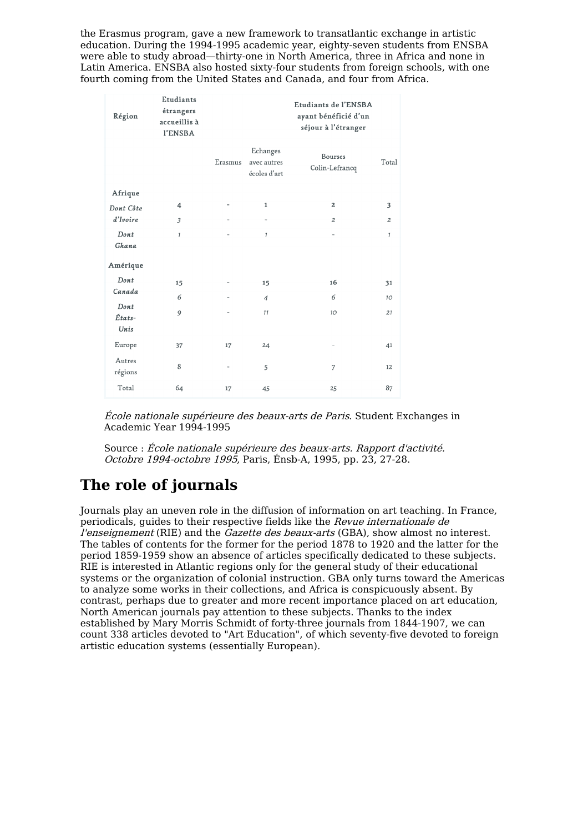the Erasmus program, gave a new framework to transatlantic exchange in artistic education. During the 1994-1995 academic year, eighty-seven students from ENSBA were able to study abroad—thirty-one in North America, three in Africa and none in Latin America. ENSBA also hosted sixty-four students from foreign schools, with one fourth coming from the United States and Canada, and four from Africa.

| Région                                   | Etudiants<br>étrangers<br>accueillis à<br>l'ENSBA |                          |                                         | Etudiants de l'ENSBA<br>ayant bénéficié d'un<br>séjour à l'étranger |                 |
|------------------------------------------|---------------------------------------------------|--------------------------|-----------------------------------------|---------------------------------------------------------------------|-----------------|
|                                          |                                                   | Erasmus                  | Echanges<br>avec autres<br>écoles d'art | Bourses<br>Colin-Lefrancq                                           | Total           |
| Afrique                                  |                                                   |                          |                                         |                                                                     |                 |
| Dont Côte<br>$d'I \nvoire$               | 4                                                 | $\overline{\phantom{0}}$ | $\mathbf 1$                             | $\overline{2}$                                                      | 3               |
|                                          | 3                                                 |                          | $\overline{\phantom{0}}$                | $\overline{z}$                                                      | $\mathfrak{p}$  |
| Dont<br>Ghana                            | $\mathcal{I}$                                     |                          | $\mathcal{I}$                           | $\overline{\phantom{0}}$                                            | $\mathcal{I}$   |
| Amérique                                 |                                                   |                          |                                         |                                                                     |                 |
| Dont<br>Canada<br>Dont<br>États-<br>Unis | 15                                                | $\overline{a}$           | 15                                      | 16                                                                  | 31              |
|                                          | 6                                                 |                          | $\overline{4}$                          | 6                                                                   | 10 <sup>°</sup> |
|                                          | 9                                                 | $\overline{\phantom{0}}$ | 11                                      | 10 <sup>1</sup>                                                     | 21              |
| Europe                                   | 37                                                | 17                       | 24                                      | $\qquad \qquad$                                                     | 41              |
| Autres<br>régions                        | 8                                                 | $\overline{a}$           | 5                                       | $\overline{7}$                                                      | 12              |
| Total                                    | 64                                                | 17                       | 45                                      | 25                                                                  | 87              |

École nationale supérieure des beaux-arts de Paris. Student Exchanges in Academic Year 1994-1995

Source : École nationale supérieure des beaux-arts. Rapport d'activité. Octobre 1994-octobre 1995, Paris, Énsb-A, 1995, pp. 23, 27-28.

# **The role of journals**

Journals play an uneven role in the diffusion of information on art teaching. In France, periodicals, guides to their respective fields like the Revue internationale de l'enseignement (RIE) and the Gazette des beaux-arts (GBA), show almost no interest. The tables of contents for the former for the period 1878 to 1920 and the latter for the period 1859-1959 show an absence of articles specifically dedicated to these subjects. RIE is interested in Atlantic regions only for the general study of their educational systems or the organization of colonial instruction. GBA only turns toward the Americas to analyze some works in their collections, and Africa is conspicuously absent. By contrast, perhaps due to greater and more recent importance placed on art education, North American journals pay attention to these subjects. Thanks to the index established by Mary Morris Schmidt of forty-three journals from 1844-1907, we can count 338 articles devoted to "Art Education", of which seventy-five devoted to foreign artistic education systems (essentially European).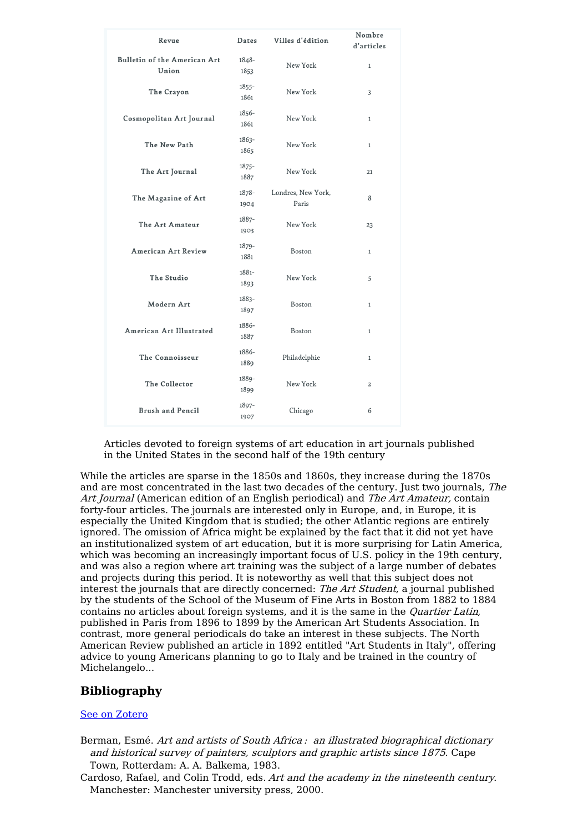| Revue                                        | Dates            | Villes d'édition            | Nombre<br>d'articles |
|----------------------------------------------|------------------|-----------------------------|----------------------|
| <b>Bulletin of the American Art</b><br>Union | 1848-<br>1853    | New York                    | $\mathbf{1}$         |
| The Crayon                                   | $1855 -$<br>1861 | New York                    | 3                    |
| Cosmopolitan Art Journal                     | 1856-<br>1861    | New York                    | $\mathbf{1}$         |
| The New Path                                 | 1863-<br>1865    | New York                    | $\mathbf{1}$         |
| The Art Journal                              | $1875 -$<br>1887 | New York                    | 21                   |
| The Magazine of Art                          | 1878-<br>1904    | Londres, New York,<br>Paris | 8                    |
| The Art Amateur                              | 1887-<br>1903    | New York                    | 23                   |
| <b>American Art Review</b>                   | 1879-<br>1881    | Boston                      | $\mathbf{1}$         |
| The Studio                                   | 1881-<br>1893    | New York                    | 5                    |
| Modern Art                                   | 1883-<br>1897    | Boston                      | 1                    |
| American Art Illustrated                     | 1886-<br>1887    | Boston                      | $\mathbf{1}$         |
| The Connoisseur                              | 1886-<br>1889    | Philadelphie                | 1                    |
| The Collector                                | 1889-<br>1899    | New York                    | $\overline{c}$       |
| <b>Brush and Pencil</b>                      | 1897-<br>1907    | Chicago                     | 6                    |

Articles devoted to foreign systems of art education in art journals published in the United States in the second half of the 19th century

While the articles are sparse in the 1850s and 1860s, they increase during the 1870s and are most concentrated in the last two decades of the century. Just two journals, The Art Journal (American edition of an English periodical) and The Art Amateur, contain forty-four articles. The journals are interested only in Europe, and, in Europe, it is especially the United Kingdom that is studied; the other Atlantic regions are entirely ignored. The omission of Africa might be explained by the fact that it did not yet have an institutionalized system of art education, but it is more surprising for Latin America, which was becoming an increasingly important focus of U.S. policy in the 19th century, and was also a region where art training was the subject of a large number of debates and projects during this period. It is noteworthy as well that this subject does not interest the journals that are directly concerned: The Art Student, a journal published by the students of the School of the Museum of Fine Arts in Boston from 1882 to 1884 contains no articles about foreign systems, and it is the same in the Quartier Latin, published in Paris from 1896 to 1899 by the American Art Students Association. In contrast, more general periodicals do take an interest in these subjects. The North American Review published an article in 1892 entitled "Art Students in Italy", offering advice to young Americans planning to go to Italy and be trained in the country of Michelangelo...

### **Bibliography**

### See on [Zotero](https://www.zotero.org/groups/1871378/transatlantic_cultures/tags/tracs-education-artistique/library)

- Berman, Esmé. Art and artists of South Africa : an illustrated biographical dictionary and historical survey of painters, sculptors and graphic artists since 1875. Cape Town, Rotterdam: A. A. Balkema, 1983.
- Cardoso, Rafael, and Colin Trodd, eds. Art and the academy in the nineteenth century. Manchester: Manchester university press, 2000.